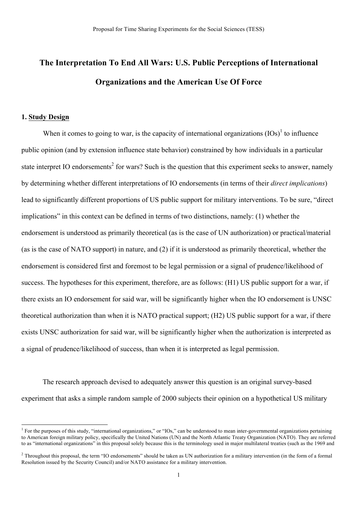# **The Interpretation To End All Wars: U.S. Public Perceptions of International Organizations and the American Use Of Force**

## **1. Study Design**

When it comes to going to war, is the capacity of international organizations  $(IS)^{1}$  to influence public opinion (and by extension influence state behavior) constrained by how individuals in a particular state interpret IO endorsements<sup>2</sup> for wars? Such is the question that this experiment seeks to answer, namely by determining whether different interpretations of IO endorsements (in terms of their *direct implications*) lead to significantly different proportions of US public support for military interventions. To be sure, "direct implications" in this context can be defined in terms of two distinctions, namely: (1) whether the endorsement is understood as primarily theoretical (as is the case of UN authorization) or practical/material (as is the case of NATO support) in nature, and (2) if it is understood as primarily theoretical, whether the endorsement is considered first and foremost to be legal permission or a signal of prudence/likelihood of success. The hypotheses for this experiment, therefore, are as follows: (H1) US public support for a war, if there exists an IO endorsement for said war, will be significantly higher when the IO endorsement is UNSC theoretical authorization than when it is NATO practical support; (H2) US public support for a war, if there exists UNSC authorization for said war, will be significantly higher when the authorization is interpreted as a signal of prudence/likelihood of success, than when it is interpreted as legal permission.

The research approach devised to adequately answer this question is an original survey-based experiment that asks a simple random sample of 2000 subjects their opinion on a hypothetical US military

<sup>&</sup>lt;sup>1</sup> For the purposes of this study, "international organizations," or "IOs," can be understood to mean inter-governmental organizations pertaining to American foreign military policy, specifically the United Nations (UN) and the North Atlantic Treaty Organization (NATO). They are referred to as "international organizations" in this proposal solely because this is the terminology used in major multilateral treaties (such as the 1969 and

<sup>&</sup>lt;sup>2</sup> Throughout this proposal, the term "IO endorsements" should be taken as UN authorization for a military intervention (in the form of a formal Resolution issued by the Security Council) and/or NATO assistance for a military intervention.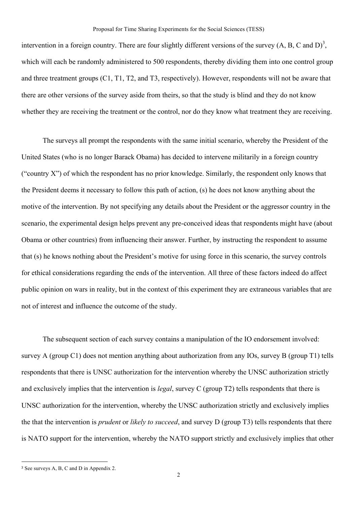intervention in a foreign country. There are four slightly different versions of the survey  $(A, B, C \text{ and } D)^3$ , which will each be randomly administered to 500 respondents, thereby dividing them into one control group and three treatment groups (C1, T1, T2, and T3, respectively). However, respondents will not be aware that there are other versions of the survey aside from theirs, so that the study is blind and they do not know whether they are receiving the treatment or the control, nor do they know what treatment they are receiving.

The surveys all prompt the respondents with the same initial scenario, whereby the President of the United States (who is no longer Barack Obama) has decided to intervene militarily in a foreign country ("country X") of which the respondent has no prior knowledge. Similarly, the respondent only knows that the President deems it necessary to follow this path of action, (s) he does not know anything about the motive of the intervention. By not specifying any details about the President or the aggressor country in the scenario, the experimental design helps prevent any pre-conceived ideas that respondents might have (about Obama or other countries) from influencing their answer. Further, by instructing the respondent to assume that (s) he knows nothing about the President's motive for using force in this scenario, the survey controls for ethical considerations regarding the ends of the intervention. All three of these factors indeed do affect public opinion on wars in reality, but in the context of this experiment they are extraneous variables that are not of interest and influence the outcome of the study.

The subsequent section of each survey contains a manipulation of the IO endorsement involved: survey A (group C1) does not mention anything about authorization from any IOs, survey B (group T1) tells respondents that there is UNSC authorization for the intervention whereby the UNSC authorization strictly and exclusively implies that the intervention is *legal*, survey C (group T2) tells respondents that there is UNSC authorization for the intervention, whereby the UNSC authorization strictly and exclusively implies the that the intervention is *prudent* or *likely to succeed*, and survey D (group T3) tells respondents that there is NATO support for the intervention, whereby the NATO support strictly and exclusively implies that other

<sup>!!!!!!!!!!!!!!!!!!!!!!!!!!!!!!!!!!!!!!!!!!!!!!!!!!!!!!!</sup> <sup>3</sup> See surveys A, B, C and D in Appendix 2.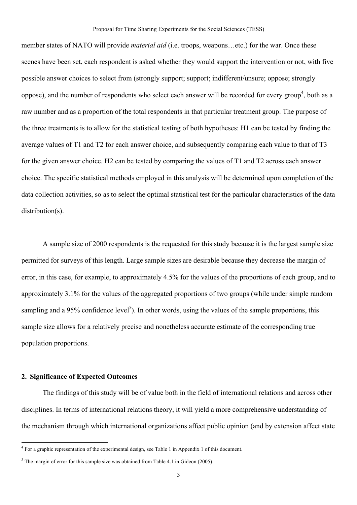#### Proposal for Time Sharing Experiments for the Social Sciences (TESS)

member states of NATO will provide *material aid* (i.e. troops, weapons…etc.) for the war. Once these scenes have been set, each respondent is asked whether they would support the intervention or not, with five possible answer choices to select from (strongly support; support; indifferent/unsure; oppose; strongly oppose), and the number of respondents who select each answer will be recorded for every group<sup>4</sup>, both as a raw number and as a proportion of the total respondents in that particular treatment group. The purpose of the three treatments is to allow for the statistical testing of both hypotheses: H1 can be tested by finding the average values of T1 and T2 for each answer choice, and subsequently comparing each value to that of T3 for the given answer choice. H2 can be tested by comparing the values of T1 and T2 across each answer choice. The specific statistical methods employed in this analysis will be determined upon completion of the data collection activities, so as to select the optimal statistical test for the particular characteristics of the data distribution(s).

A sample size of 2000 respondents is the requested for this study because it is the largest sample size permitted for surveys of this length. Large sample sizes are desirable because they decrease the margin of error, in this case, for example, to approximately 4.5% for the values of the proportions of each group, and to approximately 3.1% for the values of the aggregated proportions of two groups (while under simple random sampling and a 95% confidence level<sup>5</sup>). In other words, using the values of the sample proportions, this sample size allows for a relatively precise and nonetheless accurate estimate of the corresponding true population proportions.

## **2. Significance of Expected Outcomes**

!!!!!!!!!!!!!!!!!!!!!!!!!!!!!!!!!!!!!!!!!!!!!!!!!!!!!!!

The findings of this study will be of value both in the field of international relations and across other disciplines. In terms of international relations theory, it will yield a more comprehensive understanding of the mechanism through which international organizations affect public opinion (and by extension affect state

 $4$  For a graphic representation of the experimental design, see Table 1 in Appendix 1 of this document.

 $5$  The margin of error for this sample size was obtained from Table 4.1 in Gideon (2005).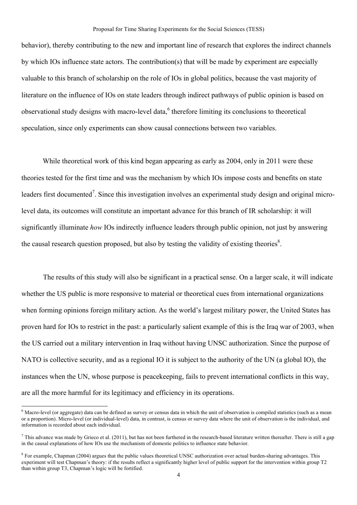#### Proposal for Time Sharing Experiments for the Social Sciences (TESS)

behavior), thereby contributing to the new and important line of research that explores the indirect channels by which IOs influence state actors. The contribution(s) that will be made by experiment are especially valuable to this branch of scholarship on the role of IOs in global politics, because the vast majority of literature on the influence of IOs on state leaders through indirect pathways of public opinion is based on observational study designs with macro-level data,<sup>6</sup> therefore limiting its conclusions to theoretical speculation, since only experiments can show causal connections between two variables.

While theoretical work of this kind began appearing as early as 2004, only in 2011 were these theories tested for the first time and was the mechanism by which IOs impose costs and benefits on state leaders first documented<sup>7</sup>. Since this investigation involves an experimental study design and original microlevel data, its outcomes will constitute an important advance for this branch of IR scholarship: it will significantly illuminate *how* IOs indirectly influence leaders through public opinion, not just by answering the causal research question proposed, but also by testing the validity of existing theories $\delta$ .

The results of this study will also be significant in a practical sense. On a larger scale, it will indicate whether the US public is more responsive to material or theoretical cues from international organizations when forming opinions foreign military action. As the world's largest military power, the United States has proven hard for IOs to restrict in the past: a particularly salient example of this is the Iraq war of 2003, when the US carried out a military intervention in Iraq without having UNSC authorization. Since the purpose of NATO is collective security, and as a regional IO it is subject to the authority of the UN (a global IO), the instances when the UN, whose purpose is peacekeeping, fails to prevent international conflicts in this way, are all the more harmful for its legitimacy and efficiency in its operations.

!!!!!!!!!!!!!!!!!!!!!!!!!!!!!!!!!!!!!!!!!!!!!!!!!!!!!!!

 $6$  Macro-level (or aggregate) data can be defined as survey or census data in which the unit of observation is compiled statistics (such as a mean or a proportion). Micro-level (or individual-level) data, in contrast, is census or survey data where the unit of observation is the individual, and information is recorded about each individual.

 $^7$  This advance was made by Grieco et al. (2011), but has not been furthered in the research-based literature written thereafter. There is still a gap in the causal explanations of how IOs use the mechanism of domestic politics to influence state behavior.

<sup>&</sup>lt;sup>8</sup> For example, Chapman (2004) argues that the public values theoretical UNSC authorization over actual burden-sharing advantages. This experiment will test Chapman's theory: if the results reflect a significantly higher level of public support for the intervention within group T2 than within group T3, Chapman's logic will be fortified.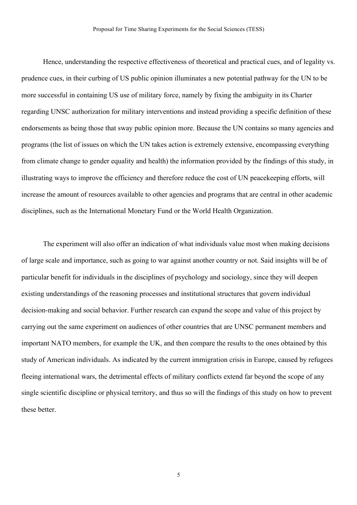Hence, understanding the respective effectiveness of theoretical and practical cues, and of legality vs. prudence cues, in their curbing of US public opinion illuminates a new potential pathway for the UN to be more successful in containing US use of military force, namely by fixing the ambiguity in its Charter regarding UNSC authorization for military interventions and instead providing a specific definition of these endorsements as being those that sway public opinion more. Because the UN contains so many agencies and programs (the list of issues on which the UN takes action is extremely extensive, encompassing everything from climate change to gender equality and health) the information provided by the findings of this study, in illustrating ways to improve the efficiency and therefore reduce the cost of UN peacekeeping efforts, will increase the amount of resources available to other agencies and programs that are central in other academic disciplines, such as the International Monetary Fund or the World Health Organization.

The experiment will also offer an indication of what individuals value most when making decisions of large scale and importance, such as going to war against another country or not. Said insights will be of particular benefit for individuals in the disciplines of psychology and sociology, since they will deepen existing understandings of the reasoning processes and institutional structures that govern individual decision-making and social behavior. Further research can expand the scope and value of this project by carrying out the same experiment on audiences of other countries that are UNSC permanent members and important NATO members, for example the UK, and then compare the results to the ones obtained by this study of American individuals. As indicated by the current immigration crisis in Europe, caused by refugees fleeing international wars, the detrimental effects of military conflicts extend far beyond the scope of any single scientific discipline or physical territory, and thus so will the findings of this study on how to prevent these better.

5